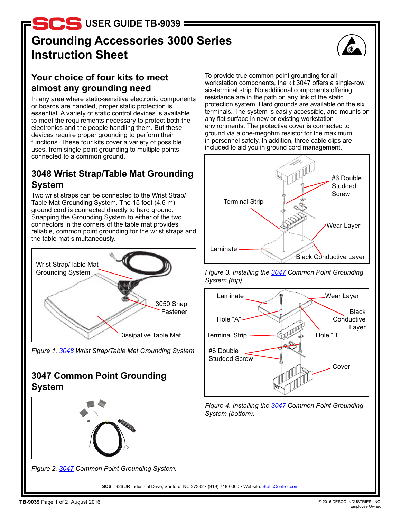**D.S.** USER GUIDE TB-9039

# **Grounding Accessories 3000 Series Instruction Sheet**



### **Your choice of four kits to meet almost any grounding need**

In any area where static-sensitive electronic components or boards are handled, proper static protection is essential. A variety of static control devices is available to meet the requirements necessary to protect both the electronics and the people handling them. But these devices require proper grounding to perform their functions. These four kits cover a variety of possible uses, from single-point grounding to multiple points connected to a common ground.

### **3048 Wrist Strap/Table Mat Grounding System**

Two wrist straps can be connected to the Wrist Strap/ Table Mat Grounding System. The 15 foot (4.6 m) ground cord is connected directly to hard ground. Snapping the Grounding System to either of the two connectors in the corners of the table mat provides reliable, common point grounding for the wrist straps and the table mat simultaneously.



*Figure 1. [3048](http://staticcontrol.descoindustries.com/SCSCatalog/Mats/Mat-Accessories/GroundCordAccessories/3048) Wrist Strap/Table Mat Grounding System.*

### **3047 Common Point Grounding System**





**SCS** - 926 JR Industrial Drive, Sanford, NC 27332 • (919) 718-0000 • Website: [StaticControl.com](http://staticcontrol.descoindustries.com/)

To provide true common point grounding for all workstation components, the kit 3047 offers a single-row, six-terminal strip. No additional components offering resistance are in the path on any link of the static protection system. Hard grounds are available on the six terminals. The system is easily accessible, and mounts on any flat surface in new or existing workstation environments. The protective cover is connected to ground via a one-megohm resistor for the maximum in personnel safety. In addition, three cable clips are included to aid you in ground cord management.







*Figure 4. Installing the [3047](http://staticcontrol.descoindustries.com/SCSCatalog/Mats/Mat-Accessories/GroundCordAccessories/3047) Common Point Grounding System (bottom).*